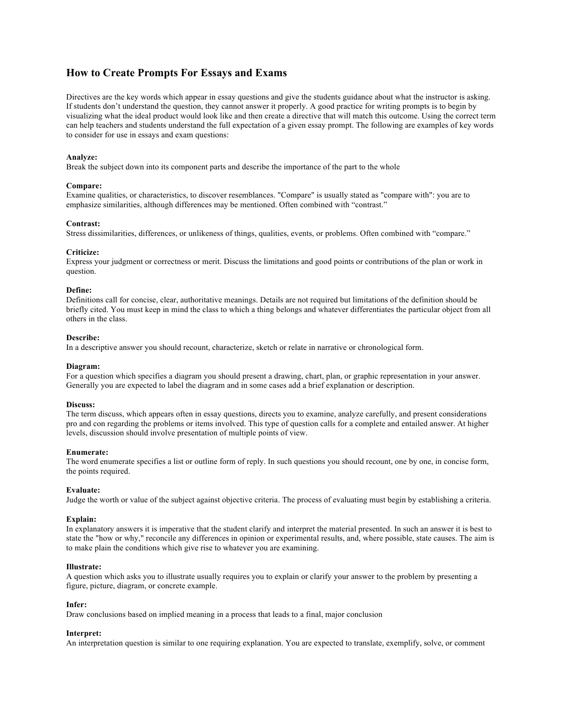# **How to Create Prompts For Essays and Exams**

Directives are the key words which appear in essay questions and give the students guidance about what the instructor is asking. If students don't understand the question, they cannot answer it properly. A good practice for writing prompts is to begin by visualizing what the ideal product would look like and then create a directive that will match this outcome. Using the correct term can help teachers and students understand the full expectation of a given essay prompt. The following are examples of key words to consider for use in essays and exam questions:

## **Analyze:**

Break the subject down into its component parts and describe the importance of the part to the whole

## **Compare:**

Examine qualities, or characteristics, to discover resemblances. "Compare" is usually stated as "compare with": you are to emphasize similarities, although differences may be mentioned. Often combined with "contrast."

## **Contrast:**

Stress dissimilarities, differences, or unlikeness of things, qualities, events, or problems. Often combined with "compare."

## **Criticize:**

Express your judgment or correctness or merit. Discuss the limitations and good points or contributions of the plan or work in question.

### **Define:**

Definitions call for concise, clear, authoritative meanings. Details are not required but limitations of the definition should be briefly cited. You must keep in mind the class to which a thing belongs and whatever differentiates the particular object from all others in the class.

# **Describe:**

In a descriptive answer you should recount, characterize, sketch or relate in narrative or chronological form.

#### **Diagram:**

For a question which specifies a diagram you should present a drawing, chart, plan, or graphic representation in your answer. Generally you are expected to label the diagram and in some cases add a brief explanation or description.

### **Discuss:**

The term discuss, which appears often in essay questions, directs you to examine, analyze carefully, and present considerations pro and con regarding the problems or items involved. This type of question calls for a complete and entailed answer. At higher levels, discussion should involve presentation of multiple points of view.

#### **Enumerate:**

The word enumerate specifies a list or outline form of reply. In such questions you should recount, one by one, in concise form, the points required.

## **Evaluate:**

Judge the worth or value of the subject against objective criteria. The process of evaluating must begin by establishing a criteria.

## **Explain:**

In explanatory answers it is imperative that the student clarify and interpret the material presented. In such an answer it is best to state the "how or why," reconcile any differences in opinion or experimental results, and, where possible, state causes. The aim is to make plain the conditions which give rise to whatever you are examining.

#### **Illustrate:**

A question which asks you to illustrate usually requires you to explain or clarify your answer to the problem by presenting a figure, picture, diagram, or concrete example.

#### **Infer:**

Draw conclusions based on implied meaning in a process that leads to a final, major conclusion

## **Interpret:**

An interpretation question is similar to one requiring explanation. You are expected to translate, exemplify, solve, or comment